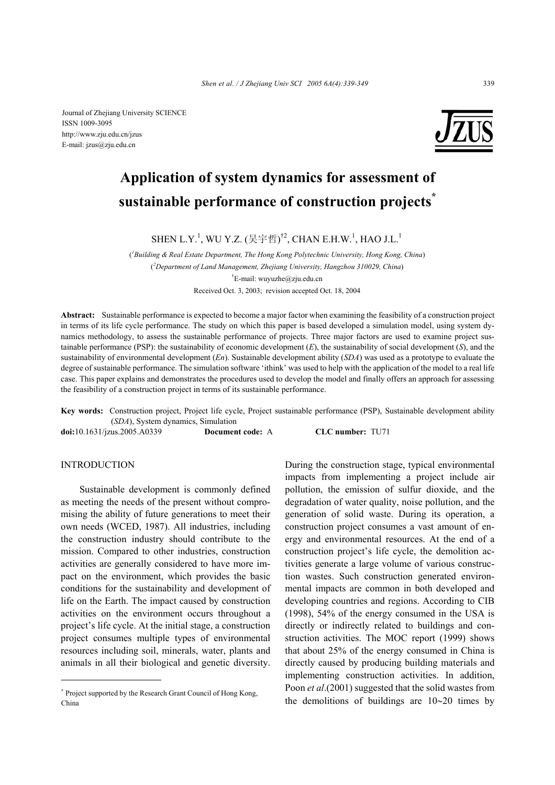Journal of Zhejiang University SCIENCE ISSN 1009-3095 http://www.zju.edu.cn/jzus E-mail: jzus@zju.edu.cn



# **Application of system dynamics for assessment of sustainable performance of construction projects\***

SHEN L.Y.<sup>1</sup>, WU Y.Z. (吴宇哲)<sup>†2</sup>, CHAN E.H.W.<sup>1</sup>, HAO J.L.<sup>1</sup>

( *1 Building & Real Estate Department, The Hong Kong Polytechnic University, Hong Kong, China*) ( *2 Department of Land Management, Zhejiang University, Hangzhou 310029, China*) † E-mail: wuyuzhe@zju.edu.cn Received Oct. 3, 2003; revision accepted Oct. 18, 2004

**Abstract:** Sustainable performance is expected to become a major factor when examining the feasibility of a construction project in terms of its life cycle performance. The study on which this paper is based developed a simulation model, using system dynamics methodology, to assess the sustainable performance of projects. Three major factors are used to examine project sustainable performance (PSP): the sustainability of economic development (*E*), the sustainability of social development (*S*), and the sustainability of environmental development (*En*). Sustainable development ability (*SDA*) was used as a prototype to evaluate the degree of sustainable performance. The simulation software 'ithink' was used to help with the application of the model to a real life case. This paper explains and demonstrates the procedures used to develop the model and finally offers an approach for assessing the feasibility of a construction project in terms of its sustainable performance.

**Key words:** Construction project, Project life cycle, Project sustainable performance (PSP), Sustainable development ability (*SDA*), System dynamics, Simulation

**doi:**10.1631/jzus.2005.A0339 **Document code:** A **CLC number:** TU71

**INTRODUCTION** 

Sustainable development is commonly defined as meeting the needs of the present without compromising the ability of future generations to meet their own needs (WCED, 1987). All industries, including the construction industry should contribute to the mission. Compared to other industries, construction activities are generally considered to have more impact on the environment, which provides the basic conditions for the sustainability and development of life on the Earth. The impact caused by construction activities on the environment occurs throughout a project's life cycle. At the initial stage, a construction project consumes multiple types of environmental resources including soil, minerals, water, plants and animals in all their biological and genetic diversity.

During the construction stage, typical environmental impacts from implementing a project include air pollution, the emission of sulfur dioxide, and the degradation of water quality, noise pollution, and the generation of solid waste. During its operation, a construction project consumes a vast amount of energy and environmental resources. At the end of a construction project's life cycle, the demolition activities generate a large volume of various construction wastes. Such construction generated environmental impacts are common in both developed and developing countries and regions. According to CIB (1998), 54% of the energy consumed in the USA is directly or indirectly related to buildings and construction activities. The MOC report (1999) shows that about 25% of the energy consumed in China is directly caused by producing building materials and implementing construction activities. In addition, Poon *et al.*(2001) suggested that the solid wastes from the demolitions of buildings are 10∼20 times by

<sup>\*</sup> Project supported by the Research Grant Council of Hong Kong, China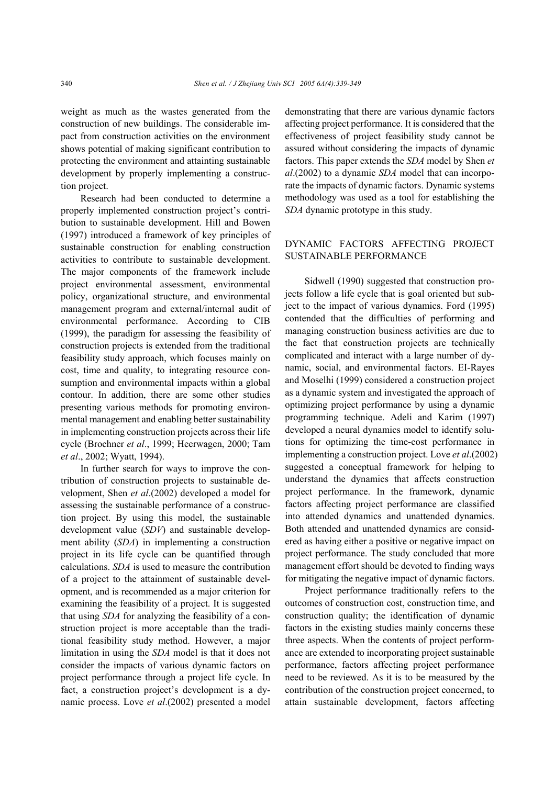weight as much as the wastes generated from the construction of new buildings. The considerable impact from construction activities on the environment shows potential of making significant contribution to protecting the environment and attainting sustainable development by properly implementing a construction project.

Research had been conducted to determine a properly implemented construction project's contribution to sustainable development. Hill and Bowen (1997) introduced a framework of key principles of sustainable construction for enabling construction activities to contribute to sustainable development. The major components of the framework include project environmental assessment, environmental policy, organizational structure, and environmental management program and external/internal audit of environmental performance. According to CIB (1999), the paradigm for assessing the feasibility of construction projects is extended from the traditional feasibility study approach, which focuses mainly on cost, time and quality, to integrating resource consumption and environmental impacts within a global contour. In addition, there are some other studies presenting various methods for promoting environmental management and enabling better sustainability in implementing construction projects across their life cycle (Brochner *et al*., 1999; Heerwagen, 2000; Tam *et al*., 2002; Wyatt, 1994).

In further search for ways to improve the contribution of construction projects to sustainable development, Shen *et al*.(2002) developed a model for assessing the sustainable performance of a construction project. By using this model, the sustainable development value (*SDV*) and sustainable development ability (*SDA*) in implementing a construction project in its life cycle can be quantified through calculations. *SDA* is used to measure the contribution of a project to the attainment of sustainable development, and is recommended as a major criterion for examining the feasibility of a project. It is suggested that using *SDA* for analyzing the feasibility of a construction project is more acceptable than the traditional feasibility study method. However, a major limitation in using the *SDA* model is that it does not consider the impacts of various dynamic factors on project performance through a project life cycle. In fact, a construction project's development is a dynamic process. Love *et al*.(2002) presented a model demonstrating that there are various dynamic factors affecting project performance. It is considered that the effectiveness of project feasibility study cannot be assured without considering the impacts of dynamic factors. This paper extends the *SDA* model by Shen *et al*.(2002) to a dynamic *SDA* model that can incorporate the impacts of dynamic factors. Dynamic systems methodology was used as a tool for establishing the *SDA* dynamic prototype in this study.

# DYNAMIC FACTORS AFFECTING PROJECT SUSTAINABLE PERFORMANCE

Sidwell (1990) suggested that construction projects follow a life cycle that is goal oriented but subject to the impact of various dynamics. Ford (1995) contended that the difficulties of performing and managing construction business activities are due to the fact that construction projects are technically complicated and interact with a large number of dynamic, social, and environmental factors. EI-Rayes and Moselhi (1999) considered a construction project as a dynamic system and investigated the approach of optimizing project performance by using a dynamic programming technique. Adeli and Karim (1997) developed a neural dynamics model to identify solutions for optimizing the time-cost performance in implementing a construction project. Love *et al*.(2002) suggested a conceptual framework for helping to understand the dynamics that affects construction project performance. In the framework, dynamic factors affecting project performance are classified into attended dynamics and unattended dynamics. Both attended and unattended dynamics are considered as having either a positive or negative impact on project performance. The study concluded that more management effort should be devoted to finding ways for mitigating the negative impact of dynamic factors.

Project performance traditionally refers to the outcomes of construction cost, construction time, and construction quality; the identification of dynamic factors in the existing studies mainly concerns these three aspects. When the contents of project performance are extended to incorporating project sustainable performance, factors affecting project performance need to be reviewed. As it is to be measured by the contribution of the construction project concerned, to attain sustainable development, factors affecting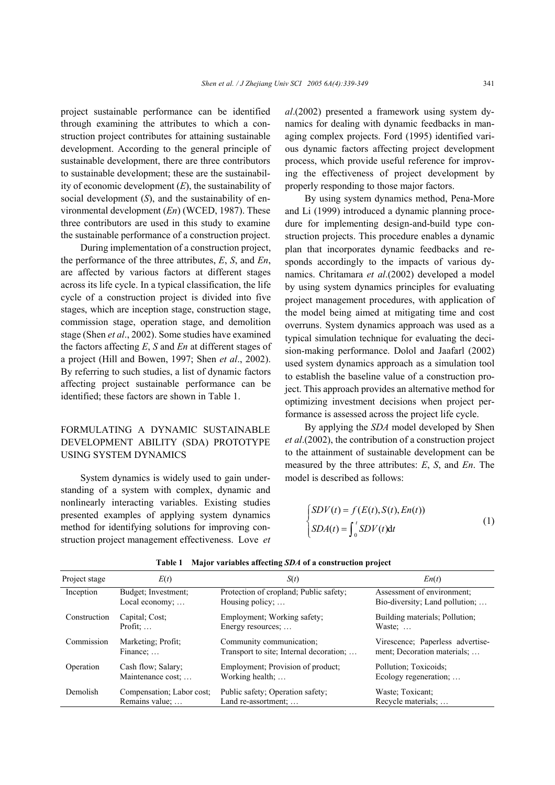project sustainable performance can be identified through examining the attributes to which a construction project contributes for attaining sustainable development. According to the general principle of sustainable development, there are three contributors to sustainable development; these are the sustainability of economic development (*E*), the sustainability of social development (*S*), and the sustainability of environmental development (*En*) (WCED, 1987). These three contributors are used in this study to examine the sustainable performance of a construction project.

During implementation of a construction project, the performance of the three attributes, *E*, *S*, and *En*, are affected by various factors at different stages across its life cycle. In a typical classification, the life cycle of a construction project is divided into five stages, which are inception stage, construction stage, commission stage, operation stage, and demolition stage (Shen *et al*., 2002). Some studies have examined the factors affecting *E*, *S* and *En* at different stages of a project (Hill and Bowen, 1997; Shen *et al*., 2002). By referring to such studies, a list of dynamic factors affecting project sustainable performance can be identified; these factors are shown in Table 1.

# FORMULATING A DYNAMIC SUSTAINABLE DEVELOPMENT ABILITY (SDA) PROTOTYPE USING SYSTEM DYNAMICS

System dynamics is widely used to gain understanding of a system with complex, dynamic and nonlinearly interacting variables. Existing studies presented examples of applying system dynamics method for identifying solutions for improving construction project management effectiveness. Love *et*  *al*.(2002) presented a framework using system dynamics for dealing with dynamic feedbacks in managing complex projects. Ford (1995) identified various dynamic factors affecting project development process, which provide useful reference for improving the effectiveness of project development by properly responding to those major factors.

By using system dynamics method, Pena-More and Li (1999) introduced a dynamic planning procedure for implementing design-and-build type construction projects. This procedure enables a dynamic plan that incorporates dynamic feedbacks and responds accordingly to the impacts of various dynamics. Chritamara *et al*.(2002) developed a model by using system dynamics principles for evaluating project management procedures, with application of the model being aimed at mitigating time and cost overruns. System dynamics approach was used as a typical simulation technique for evaluating the decision-making performance. Dolol and Jaafarl (2002) used system dynamics approach as a simulation tool to establish the baseline value of a construction project. This approach provides an alternative method for optimizing investment decisions when project performance is assessed across the project life cycle.

By applying the *SDA* model developed by Shen *et al*.(2002), the contribution of a construction project to the attainment of sustainable development can be measured by the three attributes: *E*, *S*, and *En*. The model is described as follows:

$$
\begin{cases}\nSDV(t) = f(E(t), S(t), En(t)) \\
SDA(t) = \int_0^t SDV(t)dt\n\end{cases}
$$
\n(1)

| Project stage | E(t)                      | S(t)                                    | En(t)                            |
|---------------|---------------------------|-----------------------------------------|----------------------------------|
| Inception     | Budget; Investment;       | Protection of cropland; Public safety;  | Assessment of environment:       |
|               | Local economy; $\dots$    | Housing policy; $\dots$                 | Bio-diversity; Land pollution;   |
| Construction  | Capital; Cost;            | Employment; Working safety;             | Building materials; Pollution;   |
|               | Profit: $\dots$           | Energy resources;                       | Waste; $\dots$                   |
| Commission    | Marketing; Profit;        | Community communication;                | Virescence; Paperless advertise- |
|               | Finance;                  | Transport to site; Internal decoration; | ment; Decoration materials;      |
| Operation     | Cash flow; Salary;        | Employment; Provision of product;       | Pollution: Toxicoids:            |
|               | Maintenance cost;         | Working health;                         | Ecology regeneration;            |
| Demolish      | Compensation; Labor cost; | Public safety; Operation safety;        | Waste; Toxicant;                 |
|               | Remains value;            | Land re-assortment;                     | Recycle materials;               |

**Table 1 Major variables affecting** *SDA* **of a construction project**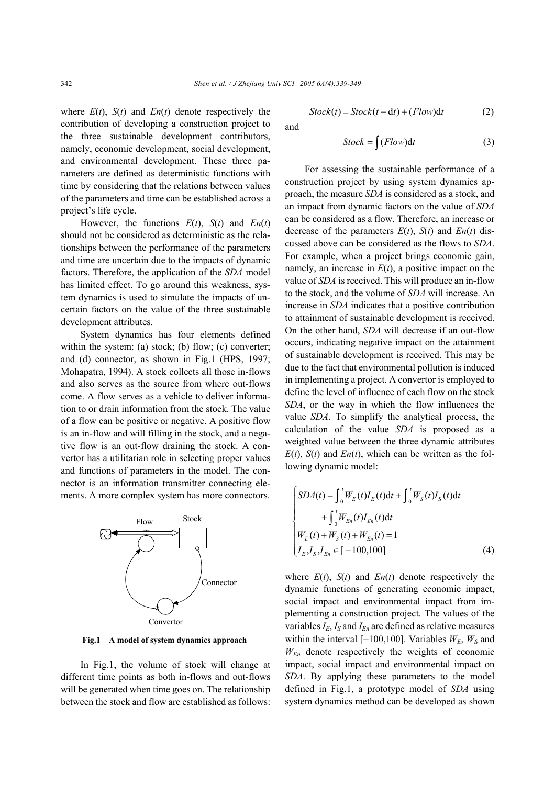where  $E(t)$ ,  $S(t)$  and  $En(t)$  denote respectively the contribution of developing a construction project to the three sustainable development contributors, namely, economic development, social development, and environmental development. These three parameters are defined as deterministic functions with time by considering that the relations between values of the parameters and time can be established across a project's life cycle.

However, the functions  $E(t)$ ,  $S(t)$  and  $En(t)$ should not be considered as deterministic as the relationships between the performance of the parameters and time are uncertain due to the impacts of dynamic factors. Therefore, the application of the *SDA* model has limited effect. To go around this weakness, system dynamics is used to simulate the impacts of uncertain factors on the value of the three sustainable development attributes.

System dynamics has four elements defined within the system: (a) stock; (b) flow; (c) converter; and (d) connector, as shown in Fig.1 (HPS, 1997; Mohapatra, 1994). A stock collects all those in-flows and also serves as the source from where out-flows come. A flow serves as a vehicle to deliver information to or drain information from the stock. The value of a flow can be positive or negative. A positive flow is an in-flow and will filling in the stock, and a negative flow is an out-flow draining the stock. A convertor has a utilitarian role in selecting proper values and functions of parameters in the model. The connector is an information transmitter connecting elements. A more complex system has more connectors.



**Fig.1 A model of system dynamics approach** 

In Fig.1, the volume of stock will change at different time points as both in-flows and out-flows will be generated when time goes on. The relationship between the stock and flow are established as follows:

$$
Stock(t) = Stock(t - dt) + (Flow)dt
$$
 (2)

and

$$
Stock = \int (Flow)dt
$$
 (3)

For assessing the sustainable performance of a construction project by using system dynamics approach, the measure *SDA* is considered as a stock, and an impact from dynamic factors on the value of *SDA* can be considered as a flow. Therefore, an increase or decrease of the parameters  $E(t)$ ,  $S(t)$  and  $En(t)$  discussed above can be considered as the flows to *SDA*. For example, when a project brings economic gain, namely, an increase in  $E(t)$ , a positive impact on the value of *SDA* is received. This will produce an in-flow to the stock, and the volume of *SDA* will increase. An increase in *SDA* indicates that a positive contribution to attainment of sustainable development is received. On the other hand, *SDA* will decrease if an out-flow occurs, indicating negative impact on the attainment of sustainable development is received. This may be due to the fact that environmental pollution is induced in implementing a project. A convertor is employed to define the level of influence of each flow on the stock *SDA*, or the way in which the flow influences the value *SDA*. To simplify the analytical process, the calculation of the value *SDA* is proposed as a weighted value between the three dynamic attributes  $E(t)$ ,  $S(t)$  and  $En(t)$ , which can be written as the following dynamic model:

$$
\begin{cases}\nSDA(t) = \int_0^t W_E(t) I_E(t) dt + \int_0^t W_S(t) I_S(t) dt \\
+ \int_0^t W_{En}(t) I_{En}(t) dt \\
W_E(t) + W_S(t) + W_{En}(t) = 1 \\
I_E, I_S, I_{En} \in [-100, 100]\n\end{cases}
$$
\n(4)

where  $E(t)$ ,  $S(t)$  and  $En(t)$  denote respectively the dynamic functions of generating economic impact, social impact and environmental impact from implementing a construction project. The values of the variables  $I_E$ ,  $I_S$  and  $I_{En}$  are defined as relative measures within the interval  $[-100, 100]$ . Variables  $W_E$ ,  $W_S$  and *WEn* denote respectively the weights of economic impact, social impact and environmental impact on *SDA*. By applying these parameters to the model defined in Fig.1, a prototype model of *SDA* using system dynamics method can be developed as shown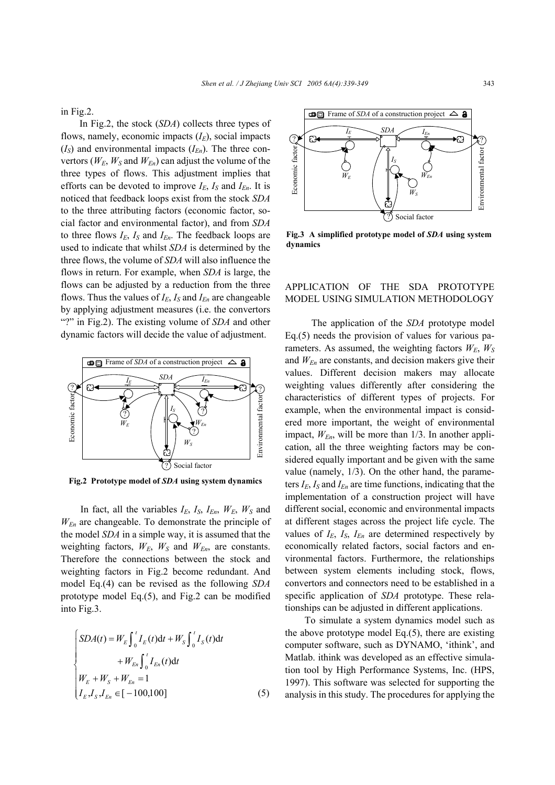in Fig.2.

In Fig.2, the stock (*SDA*) collects three types of flows, namely, economic impacts  $(I_E)$ , social impacts  $(I<sub>S</sub>)$  and environmental impacts  $(I<sub>En</sub>)$ . The three convertors ( $W_E$ ,  $W_S$  and  $W_{En}$ ) can adjust the volume of the three types of flows. This adjustment implies that efforts can be devoted to improve  $I_E$ ,  $I_S$  and  $I_{En}$ . It is noticed that feedback loops exist from the stock *SDA* to the three attributing factors (economic factor, social factor and environmental factor), and from *SDA* to three flows  $I_E$ ,  $I_S$  and  $I_{En}$ . The feedback loops are used to indicate that whilst *SDA* is determined by the three flows, the volume of *SDA* will also influence the flows in return. For example, when *SDA* is large, the flows can be adjusted by a reduction from the three flows. Thus the values of  $I_E$ ,  $I_S$  and  $I_{En}$  are changeable by applying adjustment measures (i.e. the convertors "?" in Fig.2). The existing volume of *SDA* and other dynamic factors will decide the value of adjustment.



In fact, all the variables  $I_E$ ,  $I_S$ ,  $I_{En}$ ,  $W_E$ ,  $W_S$  and *WEn* are changeable. To demonstrate the principle of the model *SDA* in a simple way, it is assumed that the weighting factors,  $W_E$ ,  $W_S$  and  $W_{En}$ , are constants. Therefore the connections between the stock and weighting factors in Fig.2 become redundant. And model Eq.(4) can be revised as the following *SDA* prototype model Eq.(5), and Fig.2 can be modified into Fig.3.

$$
\begin{cases}\nSDA(t) = W_E \int_0^t I_E(t)dt + W_S \int_0^t I_S(t)dt \\
+ W_{En} \int_0^t I_{En}(t)dt \\
W_E + W_S + W_{En} = 1 \\
I_E, I_S, I_{En} \in [-100, 100]\n\end{cases} (5)
$$



**Fig.3 A simplified prototype model of** *SDA* **using system dynamics**

## APPLICATION OF THE SDA PROTOTYPE MODEL USING SIMULATION METHODOLOGY

The application of the *SDA* prototype model Eq.(5) needs the provision of values for various parameters. As assumed, the weighting factors  $W_E$ ,  $W_S$ and *WEn* are constants, and decision makers give their values. Different decision makers may allocate weighting values differently after considering the characteristics of different types of projects. For example, when the environmental impact is considered more important, the weight of environmental impact,  $W_{En}$ , will be more than  $1/3$ . In another application, all the three weighting factors may be considered equally important and be given with the same value (namely, 1/3). On the other hand, the parameters  $I_E$ ,  $I_S$  and  $I_{En}$  are time functions, indicating that the implementation of a construction project will have different social, economic and environmental impacts at different stages across the project life cycle. The values of  $I_E$ ,  $I_S$ ,  $I_{En}$  are determined respectively by economically related factors, social factors and environmental factors. Furthermore, the relationships between system elements including stock, flows, convertors and connectors need to be established in a specific application of *SDA* prototype. These relationships can be adjusted in different applications.

To simulate a system dynamics model such as the above prototype model Eq.(5), there are existing computer software, such as DYNAMO, 'ithink', and Matlab. ithink was developed as an effective simulation tool by High Performance Systems, Inc. (HPS, 1997). This software was selected for supporting the analysis in this study. The procedures for applying the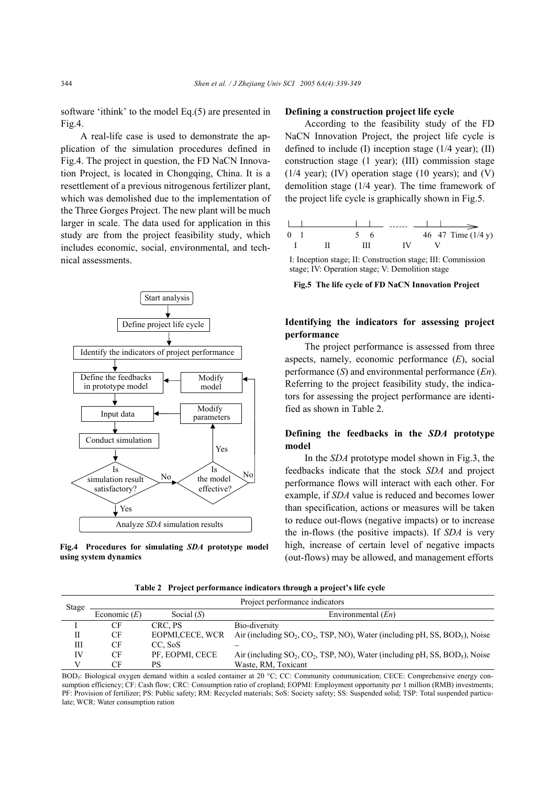software 'ithink' to the model Eq.(5) are presented in Fig.4.

A real-life case is used to demonstrate the application of the simulation procedures defined in Fig.4. The project in question, the FD NaCN Innovation Project, is located in Chongqing, China. It is a resettlement of a previous nitrogenous fertilizer plant, which was demolished due to the implementation of the Three Gorges Project. The new plant will be much larger in scale. The data used for application in this study are from the project feasibility study, which includes economic, social, environmental, and technical assessments.



**Fig.4 Procedures for simulating** *SDA* **prototype model using system dynamics**

## **Defining a construction project life cycle**

According to the feasibility study of the FD NaCN Innovation Project, the project life cycle is defined to include (I) inception stage  $(1/4 \text{ year})$ ;  $(II)$ construction stage (1 year); (III) commission stage  $(1/4 \text{ year})$ ;  $(IV)$  operation stage  $(10 \text{ years})$ ; and  $(V)$ demolition stage (1/4 year). The time framework of the project life cycle is graphically shown in Fig.5.

| 0 <sub>1</sub> | 56 |              | 46 47 Time (1/4 y) |
|----------------|----|--------------|--------------------|
|                |    | $\mathbf{N}$ |                    |

I: Inception stage; II: Construction stage; III: Commission stage; IV: Operation stage; V: Demolition stage

**Fig.5 The life cycle of FD NaCN Innovation Project**

# **Identifying the indicators for assessing project performance**

The project performance is assessed from three aspects, namely, economic performance (*E*), social performance (*S*) and environmental performance (*En*). Referring to the project feasibility study, the indicators for assessing the project performance are identified as shown in Table 2.

## **Defining the feedbacks in the** *SDA* **prototype model**

In the *SDA* prototype model shown in Fig.3, the feedbacks indicate that the stock *SDA* and project performance flows will interact with each other. For example, if *SDA* value is reduced and becomes lower than specification, actions or measures will be taken to reduce out-flows (negative impacts) or to increase the in-flows (the positive impacts). If *SDA* is very high, increase of certain level of negative impacts (out-flows) may be allowed, and management efforts

|  | Table 2 Project performance indicators through a project's life cycle |  |  |
|--|-----------------------------------------------------------------------|--|--|
|--|-----------------------------------------------------------------------|--|--|

| Stage |                |                 | Project performance indicators                                                                |
|-------|----------------|-----------------|-----------------------------------------------------------------------------------------------|
|       | Economic $(E)$ | Social $(S)$    | Environmental $(En)$                                                                          |
|       | CF.            | CRC. PS         | Bio-diversity                                                                                 |
|       | <b>CF</b>      | EOPMI,CECE, WCR | Air (including $SO_2$ , $CO_2$ , TSP, NO), Water (including pH, SS, BOD <sub>5</sub> ), Noise |
| Ш     | <b>CF</b>      | CC, SoS         |                                                                                               |
| IV    | CF             | PF, EOPMI, CECE | Air (including $SO_2$ , $CO_2$ , TSP, NO), Water (including pH, SS, $BOD_5$ ), Noise          |
| V     | CF.            | PS              | Waste, RM, Toxicant                                                                           |

BOD<sub>5</sub>: Biological oxygen demand within a sealed container at 20 °C; CC: Community communication; CECE: Comprehensive energy consumption efficiency; CF: Cash flow; CRC: Consumption ratio of cropland; EOPMI: Employment opportunity per 1 million (RMB) investments; PF: Provision of fertilizer; PS: Public safety; RM: Recycled materials; SoS: Society safety; SS: Suspended solid; TSP: Total suspended particulate; WCR: Water consumption ration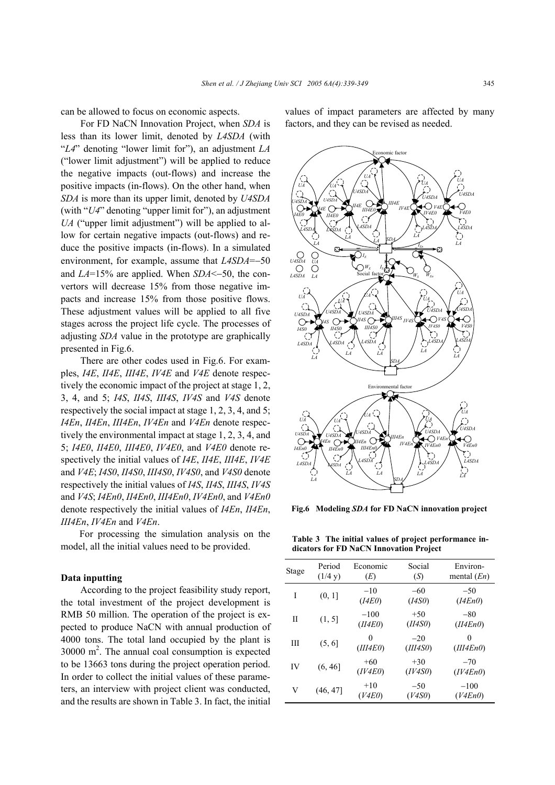can be allowed to focus on economic aspects.

For FD NaCN Innovation Project, when *SDA* is less than its lower limit, denoted by *L4SDA* (with "*L4*" denoting "lower limit for"), an adjustment *LA* ("lower limit adjustment") will be applied to reduce the negative impacts (out-flows) and increase the positive impacts (in-flows). On the other hand, when *SDA* is more than its upper limit, denoted by *U4SDA* (with "*U4*" denoting "upper limit for"), an adjustment *UA* ("upper limit adjustment") will be applied to allow for certain negative impacts (out-flows) and reduce the positive impacts (in-flows). In a simulated environment, for example, assume that *L4SDA*=−50 and *LA*=15% are applied. When *SDA*<−50, the convertors will decrease 15% from those negative impacts and increase 15% from those positive flows. These adjustment values will be applied to all five stages across the project life cycle. The processes of adjusting *SDA* value in the prototype are graphically presented in Fig.6.

There are other codes used in Fig.6. For examples, *I4E*, *II4E*, *III4E*, *IV4E* and *V4E* denote respectively the economic impact of the project at stage 1, 2, 3, 4, and 5; *I4S*, *II4S*, *III4S*, *IV4S* and *V4S* denote respectively the social impact at stage 1, 2, 3, 4, and 5; *I4En*, *II4En*, *III4En*, *IV4En* and *V4En* denote respectively the environmental impact at stage 1, 2, 3, 4, and 5; *I4E0*, *II4E0*, *III4E0*, *IV4E0*, and *V4E0* denote respectively the initial values of *I4E*, *II4E*, *III4E*, *IV4E* and *V4E*; *I4S0*, *II4S0*, *III4S0*, *IV4S0*, and *V4S0* denote respectively the initial values of *I4S*, *II4S*, *III4S*, *IV4S* and *V4S*; *I4En0*, *II4En0*, *III4En0*, *IV4En0*, and *V4En0* denote respectively the initial values of *I4En*, *II4En*, *III4En*, *IV4En* and *V4En*.

For processing the simulation analysis on the model, all the initial values need to be provided.

## **Data inputting**

According to the project feasibility study report, the total investment of the project development is RMB 50 million. The operation of the project is expected to produce NaCN with annual production of 4000 tons. The total land occupied by the plant is  $30000 \text{ m}^2$ . The annual coal consumption is expected to be 13663 tons during the project operation period. In order to collect the initial values of these parameters, an interview with project client was conducted, and the results are shown in Table 3. In fact, the initial

values of impact parameters are affected by many factors, and they can be revised as needed.



**Fig.6 Modeling** *SDA* **for FD NaCN innovation project**

**Table 3 The initial values of project performance indicators for FD NaCN Innovation Project** 

| Stage | Period<br>(1/4 y) | Economic<br>(E)      | Social<br>(S)     | Environ-<br>mental $(En)$ |
|-------|-------------------|----------------------|-------------------|---------------------------|
| I     | (0, 1]            | $-10$<br>(I4E0)      | $-60$<br>(I4S0)   | $-50$<br>(I4En0)          |
| П     | (1, 5]            | $-100$<br>(II4E0)    | $+50$<br>(II4S0)  | $-80$<br>(II4En0)         |
| Ш     | (5, 6]            | $\theta$<br>(III4E0) | $-20$<br>(III4S0) | 0<br>(III4En0)            |
| IV    | (6, 46]           | $+60$<br>(IV4E0)     | $+30$<br>(IV4S0)  | $-70$<br>(IV4En0)         |
| V     | (46, 47]          | $+10$<br>(V4E0)      | $-50$<br>(V4S0)   | $-100$<br>(V4En0)         |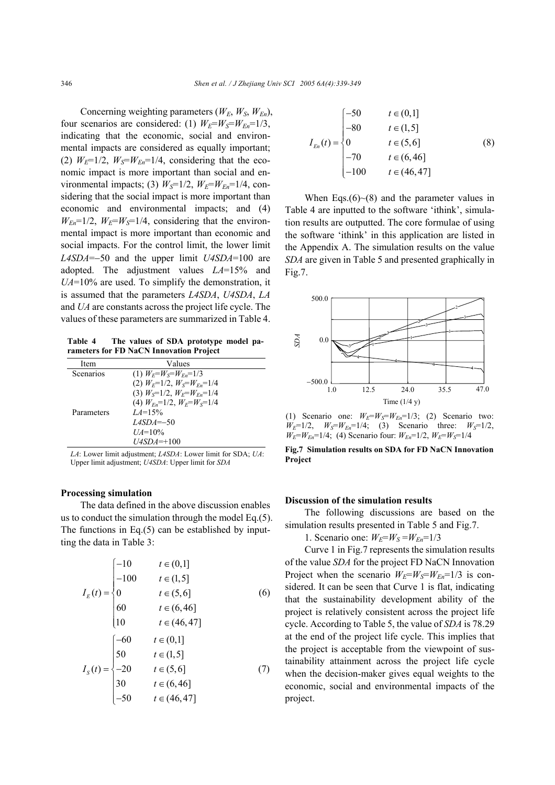Concerning weighting parameters ( $W_E$ ,  $W_S$ ,  $W_{En}$ ), four scenarios are considered: (1)  $W_E = W_S = W_{En} = 1/3$ , indicating that the economic, social and environmental impacts are considered as equally important; (2)  $W_E=1/2$ ,  $W_S=W_{En}=1/4$ , considering that the economic impact is more important than social and environmental impacts; (3)  $W_S=1/2$ ,  $W_E=W_{En}=1/4$ , considering that the social impact is more important than economic and environmental impacts; and (4)  $W_{En}$ =1/2,  $W_F$ = $W_S$ =1/4, considering that the environmental impact is more important than economic and social impacts. For the control limit, the lower limit *L4SDA*=−50 and the upper limit *U4SDA*=100 are adopted. The adjustment values *LA*=15% and *UA*=10% are used. To simplify the demonstration, it is assumed that the parameters *L4SDA*, *U4SDA*, *LA* and *UA* are constants across the project life cycle. The values of these parameters are summarized in Table 4.

**Table 4 The values of SDA prototype model parameters for FD NaCN Innovation Project** 

| Item       | Values                                 |
|------------|----------------------------------------|
| Scenarios  | (1) $W_F = W_S = W_{F_R} = 1/3$        |
|            | (2) $W_F=1/2$ , $W_S=W_{F_R}=1/4$      |
|            | (3) $W_s=1/2$ , $W_F=W_{F_n}=1/4$      |
|            | (4) $W_{Fn} = 1/2$ , $W_F = W_S = 1/4$ |
| Parameters | $LA = 15\%$                            |
|            | $L4SDA = -50$                          |
|            | $U/4=10\%$                             |
|            | $U4SDA = +100$                         |
|            |                                        |

*LA*: Lower limit adjustment; *L4SDA*: Lower limit for SDA; *UA*: Upper limit adjustment; *U4SDA*: Upper limit for *SDA*

### **Processing simulation**

The data defined in the above discussion enables us to conduct the simulation through the model Eq.(5). The functions in Eq.(5) can be established by inputting the data in Table 3:

$$
I_E(t) = \begin{cases}\n-10 & t \in (0,1] \\
-100 & t \in (1,5] \\
0 & t \in (5,6] \\
60 & t \in (6,46] \\
10 & t \in (46,47]\n\end{cases}
$$
\n(6)\n  
\n
$$
I_S(t) = \begin{cases}\n-60 & t \in (0,1] \\
50 & t \in (1,5] \\
-20 & t \in (5,6] \\
30 & t \in (6,46] \\
-50 & t \in (46,47]\n\end{cases}
$$
\n(7)

$$
I_{En}(t) = \begin{cases}\n-50 & t \in (0,1] \\
-80 & t \in (1,5] \\
0 & t \in (5,6] \\
-70 & t \in (6,46] \\
-100 & t \in (46,47]\n\end{cases}
$$
\n(8)

When Eqs. $(6)$   $\sim$  (8) and the parameter values in Table 4 are inputted to the software 'ithink', simulation results are outputted. The core formulae of using the software 'ithink' in this application are listed in the Appendix A. The simulation results on the value *SDA* are given in Table 5 and presented graphically in Fig.7.



(1) Scenario one:  $W_E = W_S = W_{En} = 1/3$ ; (2) Scenario two:  $W_E=1/2$ ,  $W_S=W_{En}=1/4$ ; (3) Scenario three:  $W_S=1/2$ ,  $W_E = W_{En} = 1/4$ ; (4) Scenario four:  $W_{En} = 1/2$ ,  $W_E = W_S = 1/4$ 

**Fig.7 Simulation results on SDA for FD NaCN Innovation** 

#### **Discussion of the simulation results**

The following discussions are based on the simulation results presented in Table 5 and Fig.7.

1. Scenario one:  $W_E = W_S = W_{En} = 1/3$ 

Curve 1 in Fig.7 represents the simulation results of the value *SDA* for the project FD NaCN Innovation Project when the scenario  $W_E = W_S = W_{En} = 1/3$  is considered. It can be seen that Curve 1 is flat, indicating that the sustainability development ability of the project is relatively consistent across the project life cycle. According to Table 5, the value of *SDA* is 78.29 at the end of the project life cycle. This implies that the project is acceptable from the viewpoint of sustainability attainment across the project life cycle when the decision-maker gives equal weights to the economic, social and environmental impacts of the project.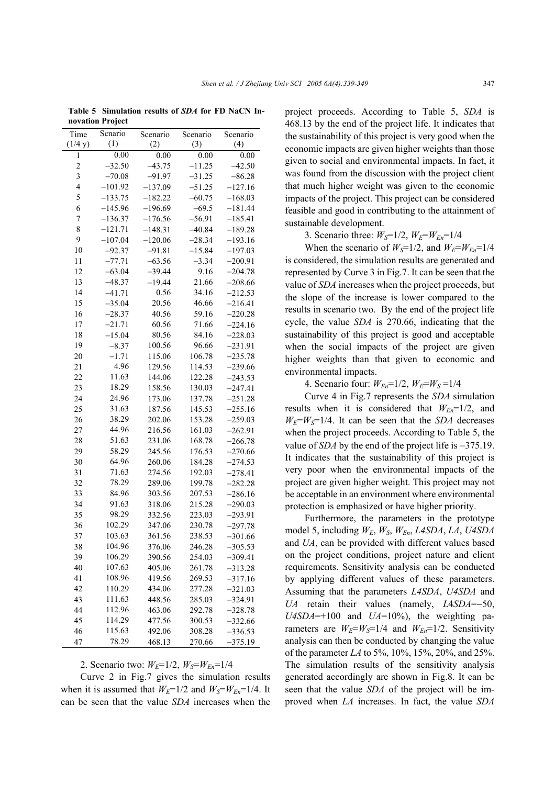**Table 5 Simulation results of** *SDA* **for FD NaCN Innovation Project** 

| Time                    | Scnario   | Scenario  | Scenario | Scenario  |
|-------------------------|-----------|-----------|----------|-----------|
| (1/4 y)                 | (1)       | (2)       | (3)      | (4)       |
| 1                       | 0.00      | 0.00      | 0.00     | 0.00      |
| $\overline{\mathbf{c}}$ | $-32.50$  | $-43.75$  | $-11.25$ | $-42.50$  |
| 3                       | $-70.08$  | $-91.97$  | $-31.25$ | $-86.28$  |
| $\overline{4}$          | $-101.92$ | $-137.09$ | $-51.25$ | $-127.16$ |
| 5                       | $-133.75$ | $-182.22$ | $-60.75$ | $-168.03$ |
| 6                       | $-145.96$ | $-196.69$ | $-69.5$  | $-181.44$ |
| $\boldsymbol{7}$        | $-136.37$ | $-176.56$ | $-56.91$ | $-185.41$ |
| 8                       | $-121.71$ | $-148.31$ | $-40.84$ | $-189.28$ |
| 9                       | $-107.04$ | $-120.06$ | $-28.34$ | $-193.16$ |
| 10                      | $-92.37$  | $-91.81$  | $-15.84$ | $-197.03$ |
| 11                      | $-77.71$  | $-63.56$  | $-3.34$  | $-200.91$ |
| 12                      | $-63.04$  | $-39.44$  | 9.16     | $-204.78$ |
| 13                      | $-48.37$  | $-19.44$  | 21.66    | $-208.66$ |
| 14                      | $-41.71$  | 0.56      | 34.16    | $-212.53$ |
| 15                      | $-35.04$  | 20.56     | 46.66    | $-216.41$ |
| 16                      | $-28.37$  | 40.56     | 59.16    | $-220.28$ |
| 17                      | $-21.71$  | 60.56     | 71.66    | $-224.16$ |
| 18                      | $-15.04$  | 80.56     | 84.16    | $-228.03$ |
| 19                      | $-8.37$   | 100.56    | 96.66    | $-231.91$ |
| 20                      | $-1.71$   | 115.06    | 106.78   | $-235.78$ |
| 21                      | 4.96      | 129.56    | 114.53   | $-239.66$ |
| 22                      | 11.63     | 144.06    | 122.28   | $-243.53$ |
| 23                      | 18.29     | 158.56    | 130.03   | $-247.41$ |
| 24                      | 24.96     | 173.06    | 137.78   | $-251.28$ |
| 25                      | 31.63     | 187.56    | 145.53   | $-255.16$ |
| 26                      | 38.29     | 202.06    | 153.28   | $-259.03$ |
| 27                      | 44.96     | 216.56    | 161.03   | $-262.91$ |
| 28                      | 51.63     | 231.06    | 168.78   | $-266.78$ |
| 29                      | 58.29     | 245.56    | 176.53   | $-270.66$ |
| 30                      | 64.96     | 260.06    | 184.28   | $-274.53$ |
| 31                      | 71.63     | 274.56    | 192.03   | $-278.41$ |
| 32                      | 78.29     | 289.06    | 199.78   | $-282.28$ |
| 33                      | 84.96     | 303.56    | 207.53   | $-286.16$ |
| 34                      | 91.63     | 318.06    | 215.28   | $-290.03$ |
| 35                      | 98.29     | 332.56    | 223.03   | $-293.91$ |
| 36                      | 102.29    | 347.06    | 230.78   | $-297.78$ |
| 37                      | 103.63    | 361.56    | 238.53   | $-301.66$ |
| 38                      | 104.96    | 376.06    | 246.28   | $-305.53$ |
| 39                      | 106.29    | 390.56    | 254.03   | $-309.41$ |
| 40                      | 107.63    | 405.06    | 261.78   | $-313.28$ |
| 41                      | 108.96    | 419.56    | 269.53   | $-317.16$ |
| 42                      | 110.29    | 434.06    | 277.28   | $-321.03$ |
| 43                      | 111.63    | 448.56    | 285.03   | $-324.91$ |
| 44                      | 112.96    | 463.06    | 292.78   | $-328.78$ |
| 45                      | 114.29    | 477.56    | 300.53   | $-332.66$ |
| 46                      | 115.63    | 492.06    | 308.28   | $-336.53$ |
| 47                      | 78.29     | 468.13    | 270.66   | $-375.19$ |

2. Scenario two:  $W_F=1/2$ ,  $W_S=W_{En}=1/4$ 

Curve 2 in Fig.7 gives the simulation results when it is assumed that  $W_E=1/2$  and  $W_S=W_{En}=1/4$ . It can be seen that the value *SDA* increases when the project proceeds. According to Table 5, *SDA* is 468.13 by the end of the project life. It indicates that the sustainability of this project is very good when the economic impacts are given higher weights than those given to social and environmental impacts. In fact, it was found from the discussion with the project client that much higher weight was given to the economic impacts of the project. This project can be considered feasible and good in contributing to the attainment of sustainable development.

3. Scenario three:  $W_S = 1/2$ ,  $W_E = W_{En} = 1/4$ 

When the scenario of  $W_S=1/2$ , and  $W_E=W_{En}=1/4$ is considered, the simulation results are generated and represented by Curve 3 in Fig.7. It can be seen that the value of *SDA* increases when the project proceeds, but the slope of the increase is lower compared to the results in scenario two. By the end of the project life cycle, the value *SDA* is 270.66, indicating that the sustainability of this project is good and acceptable when the social impacts of the project are given higher weights than that given to economic and environmental impacts.

4. Scenario four:  $W_{En} = 1/2$ ,  $W_E = W_S = 1/4$ 

Curve 4 in Fig.7 represents the *SDA* simulation results when it is considered that  $W_{En} = 1/2$ , and  $W_E = W_S = 1/4$ . It can be seen that the *SDA* decreases when the project proceeds. According to Table 5, the value of *SDA* by the end of the project life is −375.19. It indicates that the sustainability of this project is very poor when the environmental impacts of the project are given higher weight. This project may not be acceptable in an environment where environmental protection is emphasized or have higher priority.

Furthermore, the parameters in the prototype model 5, including *WE*, *WS*, *WEn*, *L4SDA*, *LA*, *U4SDA* and *UA*, can be provided with different values based on the project conditions, project nature and client requirements. Sensitivity analysis can be conducted by applying different values of these parameters. Assuming that the parameters *L4SDA*, *U4SDA* and *UA* retain their values (namely, *L*4*SDA*=−50, *U4SDA*=+100 and *UA*=10%), the weighting parameters are  $W_E = W_S = 1/4$  and  $W_{En} = 1/2$ . Sensitivity analysis can then be conducted by changing the value of the parameter *LA* to 5%, 10%, 15%, 20%, and 25%. The simulation results of the sensitivity analysis generated accordingly are shown in Fig.8. It can be seen that the value *SDA* of the project will be improved when *LA* increases. In fact, the value *SDA*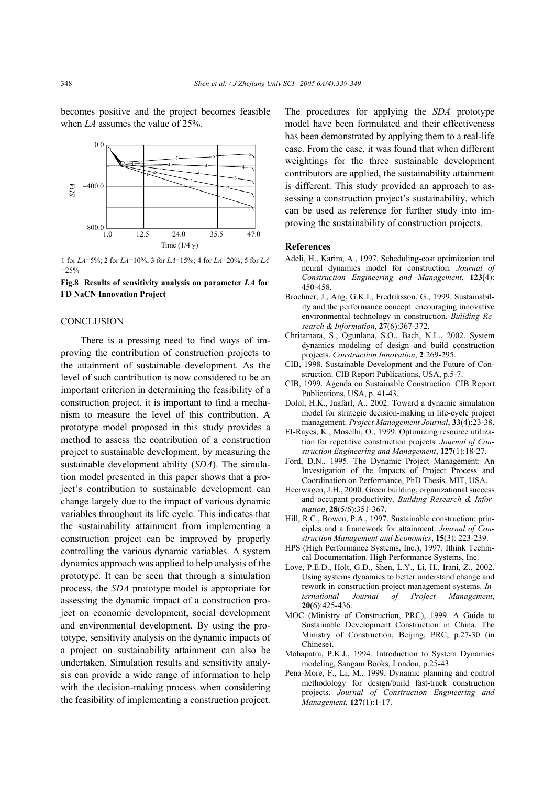becomes positive and the project becomes feasible when *LA* assumes the value of 25%.



1 for *LA*=5%; 2 for *LA*=10%; 3 for *LA*=15%; 4 for *LA*=20%; 5 for *LA*  $=25%$ 



## **CONCLUSION**

There is a pressing need to find ways of improving the contribution of construction projects to the attainment of sustainable development. As the level of such contribution is now considered to be an important criterion in determining the feasibility of a construction project, it is important to find a mechanism to measure the level of this contribution. A prototype model proposed in this study provides a method to assess the contribution of a construction project to sustainable development, by measuring the sustainable development ability (*SDA*). The simulation model presented in this paper shows that a project's contribution to sustainable development can change largely due to the impact of various dynamic variables throughout its life cycle. This indicates that the sustainability attainment from implementing a construction project can be improved by properly controlling the various dynamic variables. A system dynamics approach was applied to help analysis of the prototype. It can be seen that through a simulation process, the *SDA* prototype model is appropriate for assessing the dynamic impact of a construction project on economic development, social development and environmental development. By using the prototype, sensitivity analysis on the dynamic impacts of a project on sustainability attainment can also be undertaken. Simulation results and sensitivity analysis can provide a wide range of information to help with the decision-making process when considering the feasibility of implementing a construction project.

The procedures for applying the *SDA* prototype model have been formulated and their effectiveness has been demonstrated by applying them to a real-life case. From the case, it was found that when different weightings for the three sustainable development contributors are applied, the sustainability attainment is different. This study provided an approach to assessing a construction project's sustainability, which can be used as reference for further study into improving the sustainability of construction projects.

#### **References**

- Adeli, H., Karim, A., 1997. Scheduling-cost optimization and neural dynamics model for construction. *Journal of Construction Engineering and Management*, **123**(4): 450-458.
- Brochner, J., Ang, G.K.I., Fredriksson, G., 1999. Sustainability and the performance concept: encouraging innovative environmental technology in construction. *Building Research & Information*, **27**(6):367-372.
- Chritamara, S., Ogunlana, S.O., Bach, N.L., 2002. System dynamics modeling of design and build construction projects. *Construction Innovation*, **2**:269-295.
- CIB, 1998. Sustainable Development and the Future of Construction. CIB Report Publications, USA, p.5-7.
- CIB, 1999. Agenda on Sustainable Construction. CIB Report Publications, USA, p. 41-43.
- Dolol, H.K., Jaafarl, A., 2002. Toward a dynamic simulation model for strategic decision-making in life-cycle project management. *Project Management Journal*, **33**(4):23-38.
- EI-Rayes, K., Moselhi, O., 1999. Optimizing resource utilization for repetitive construction projects. *Journal of Construction Engineering and Management*, **127**(1):18-27.
- Ford, D.N., 1995. The Dynamic Project Management: An Investigation of the Impacts of Project Process and Coordination on Performance, PhD Thesis. MIT, USA.
- Heerwagen, J.H., 2000. Green building, organizational success and occupant productivity. *Building Research & Information*, **28**(5/6):351-367.
- Hill, R.C., Bowen, P.A., 1997. Sustainable construction: principles and a framework for attainment. *Journal of Construction Management and Economics*, **15**(3): 223-239.
- HPS (High Performance Systems, Inc.), 1997. Ithink Technical Documentation. High Performance Systems, Inc.
- Love, P.E.D., Holt, G.D., Shen, L.Y., Li, H., Irani, Z., 2002. Using systems dynamics to better understand change and rework in construction project management systems. *International Journal of Project Management*, **20**(6):425-436.
- MOC (Ministry of Construction, PRC), 1999. A Guide to Sustainable Development Construction in China. The Ministry of Construction, Beijing, PRC, p.27-30 (in Chinese).
- Mohapatra, P.K.J., 1994. Introduction to System Dynamics modeling, Sangam Books, London, p.25-43.
- Pena-More, F., Li, M., 1999. Dynamic planning and control methodology for design/build fast-track construction projects. *Journal of Construction Engineering and Management*, **127**(1):1-17.